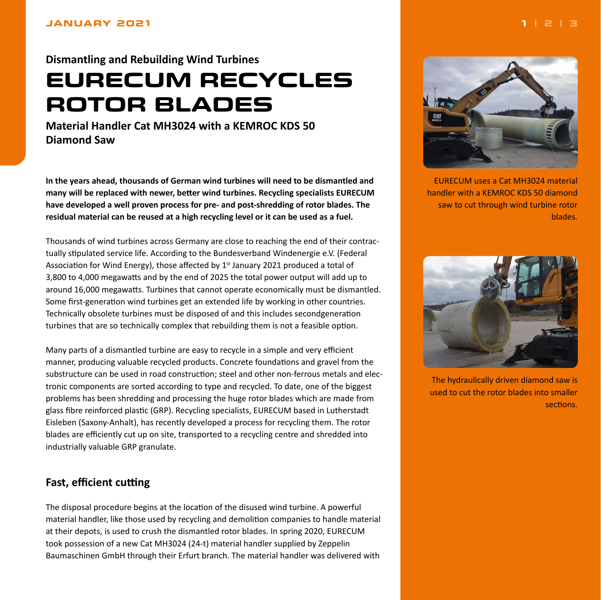#### <span id="page-0-0"></span>**JANUARY 2021**

### **Dismantling and Rebuilding Wind Turbines**

# **EURECUM RECYCLES ROTOR BLADES**

**Material Handler Cat MH3024 with a KEMROC KDS 50 Diamond Saw**

**In the years ahead, thousands of German wind turbines will need to be dismantled and many will be replaced with newer, better wind turbines. Recycling specialists EURECUM have developed a well proven process for pre- and post-shredding of rotor blades. The residual material can be reused at a high recycling level or it can be used as a fuel.**

Thousands of wind turbines across Germany are close to reaching the end of their contractually stipulated service life. According to the Bundesverband Windenergie e.V. (Federal Association for Wind Energy), those affected by  $1<sup>st</sup>$  January 2021 produced a total of 3,800 to 4,000 megawatts and by the end of 2025 the total power output will add up to around 16,000 megawatts. Turbines that cannot operate economically must be dismantled. Some first-generation wind turbines get an extended life by working in other countries. Technically obsolete turbines must be disposed of and this includes secondgeneration turbines that are so technically complex that rebuilding them is not a feasible option.

Many parts of a dismantled turbine are easy to recycle in a simple and very efficient manner, producing valuable recycled products. Concrete foundations and gravel from the substructure can be used in road construction; steel and other non-ferrous metals and electronic components are sorted according to type and recycled. To date, one of the biggest problems has been shredding and processing the huge rotor blades which are made from glass fibre reinforced plastic (GRP). Recycling specialists, EURECUM based in Lutherstadt Eisleben (Saxony-Anhalt), has recently developed a process for recycling them. The rotor blades are efficiently cut up on site, transported to a recycling centre and shredded into industrially valuable GRP granulate.

#### **Fast, efficient cutting**

The disposal procedure begins at the location of the disused wind turbine. A powerful material handler, like those used by recycling and demolition companies to handle material at their depots, is used to crush the dismantled rotor blades. In spring 2020, EURECUM took possession of a new Cat MH3024 (24-t) material handler supplied by Zeppelin Baumaschinen GmbH through their Erfurt branch. The material handler was delivered with



EURECUM uses a Cat MH3024 material handler with a KEMROC KDS 50 diamond saw to cut through wind turbine rotor blades.



The hydraulically driven diamond saw is used to cut the rotor blades into smaller sections.

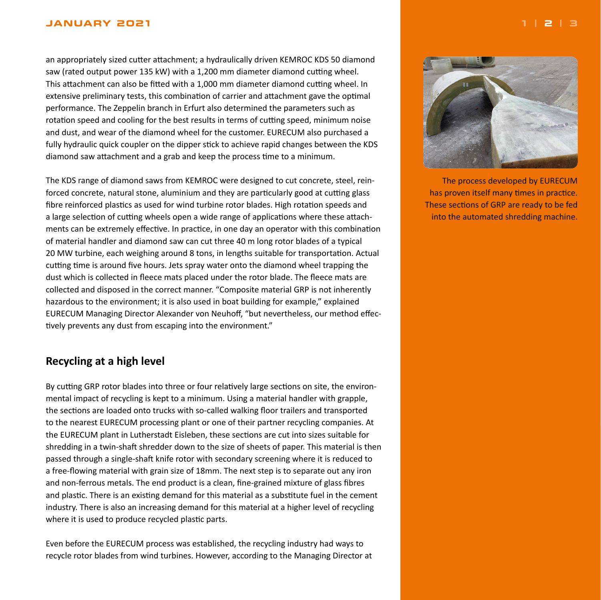#### <span id="page-1-0"></span>**JANUARY 2021 [1](#page-0-0) | 2 | [3](#page-2-0)**

an appropriately sized cutter attachment; a hydraulically driven KEMROC KDS 50 diamond saw (rated output power 135 kW) with a 1,200 mm diameter diamond cutting wheel. This attachment can also be fitted with a 1,000 mm diameter diamond cutting wheel. In extensive preliminary tests, this combination of carrier and attachment gave the optimal performance. The Zeppelin branch in Erfurt also determined the parameters such as rotation speed and cooling for the best results in terms of cutting speed, minimum noise and dust, and wear of the diamond wheel for the customer. EURECUM also purchased a fully hydraulic quick coupler on the dipper stick to achieve rapid changes between the KDS diamond saw attachment and a grab and keep the process time to a minimum.

The KDS range of diamond saws from KEMROC were designed to cut concrete, steel, reinforced concrete, natural stone, aluminium and they are particularly good at cutting glass fibre reinforced plastics as used for wind turbine rotor blades. High rotation speeds and a large selection of cutting wheels open a wide range of applications where these attachments can be extremely effective. In practice, in one day an operator with this combination of material handler and diamond saw can cut three 40 m long rotor blades of a typical 20 MW turbine, each weighing around 8 tons, in lengths suitable for transportation. Actual cutting time is around five hours. Jets spray water onto the diamond wheel trapping the dust which is collected in fleece mats placed under the rotor blade. The fleece mats are collected and disposed in the correct manner. "Composite material GRP is not inherently hazardous to the environment; it is also used in boat building for example," explained EURECUM Managing Director Alexander von Neuhoff, "but nevertheless, our method effectively prevents any dust from escaping into the environment."

## **Recycling at a high level**

By cutting GRP rotor blades into three or four relatively large sections on site, the environmental impact of recycling is kept to a minimum. Using a material handler with grapple, the sections are loaded onto trucks with so-called walking floor trailers and transported to the nearest EURECUM processing plant or one of their partner recycling companies. At the EURECUM plant in Lutherstadt Eisleben, these sections are cut into sizes suitable for shredding in a twin-shaft shredder down to the size of sheets of paper. This material is then passed through a single-shaft knife rotor with secondary screening where it is reduced to a free-flowing material with grain size of 18mm. The next step is to separate out any iron and non-ferrous metals. The end product is a clean, fine-grained mixture of glass fibres and plastic. There is an existing demand for this material as a substitute fuel in the cement industry. There is also an increasing demand for this material at a higher level of recycling where it is used to produce recycled plastic parts.

Even before the EURECUM process was established, the recycling industry had ways to recycle rotor blades from wind turbines. However, according to the Managing Director at



The process developed by EURECUM has proven itself many times in practice. These sections of GRP are ready to be fed into the automated shredding machine.